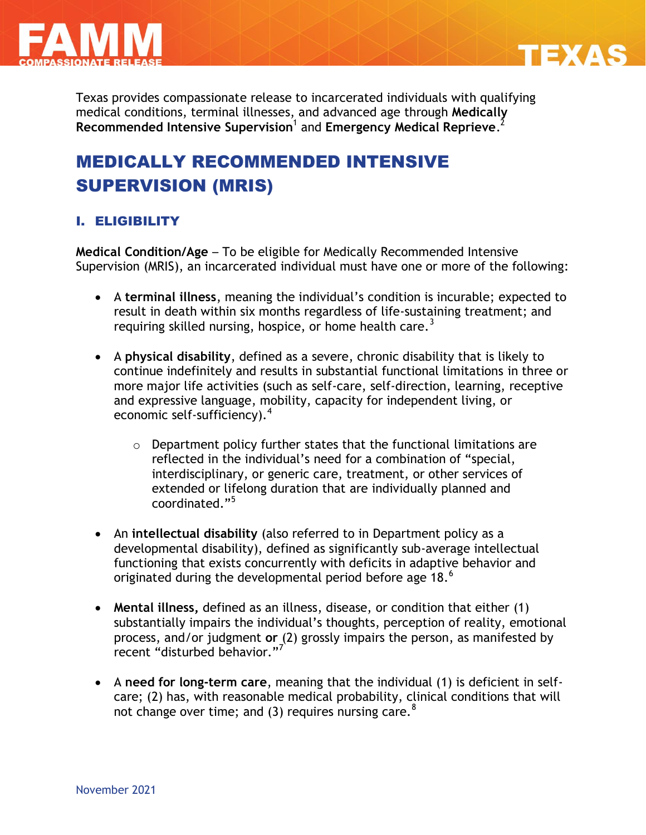



Texas provides compassionate release to incarcerated individuals with qualifying medical conditions, terminal illnesses, and advanced age through **Medically Recommended Intensive Supervision**<sup>1</sup> and **Emergency Medical Reprieve**. 2

# MEDICALLY RECOMMENDED INTENSIVE SUPERVISION (MRIS)

# I. ELIGIBILITY

**Medical Condition/Age** – To be eligible for Medically Recommended Intensive Supervision (MRIS), an incarcerated individual must have one or more of the following:

- A **terminal illness**, meaning the individual's condition is incurable; expected to result in death within six months regardless of life-sustaining treatment; and requiring skilled nursing, hospice, or home health care.<sup>3</sup>
- A **physical disability**, defined as a severe, chronic disability that is likely to continue indefinitely and results in substantial functional limitations in three or more major life activities (such as self-care, self-direction, learning, receptive and expressive language, mobility, capacity for independent living, or economic self-sufficiency).<sup>4</sup>
	- o Department policy further states that the functional limitations are reflected in the individual's need for a combination of "special, interdisciplinary, or generic care, treatment, or other services of extended or lifelong duration that are individually planned and coordinated."<sup>5</sup>
- An **intellectual disability** (also referred to in Department policy as a developmental disability), defined as significantly sub-average intellectual functioning that exists concurrently with deficits in adaptive behavior and originated during the developmental period before age 18.<sup>6</sup>
- **Mental illness,** defined as an illness, disease, or condition that either (1) substantially impairs the individual's thoughts, perception of reality, emotional process, and/or judgment **or** (2) grossly impairs the person, as manifested by recent "disturbed behavior." $7$
- A **need for long-term care**, meaning that the individual (1) is deficient in selfcare; (2) has, with reasonable medical probability, clinical conditions that will not change over time; and (3) requires nursing care.<sup>8</sup>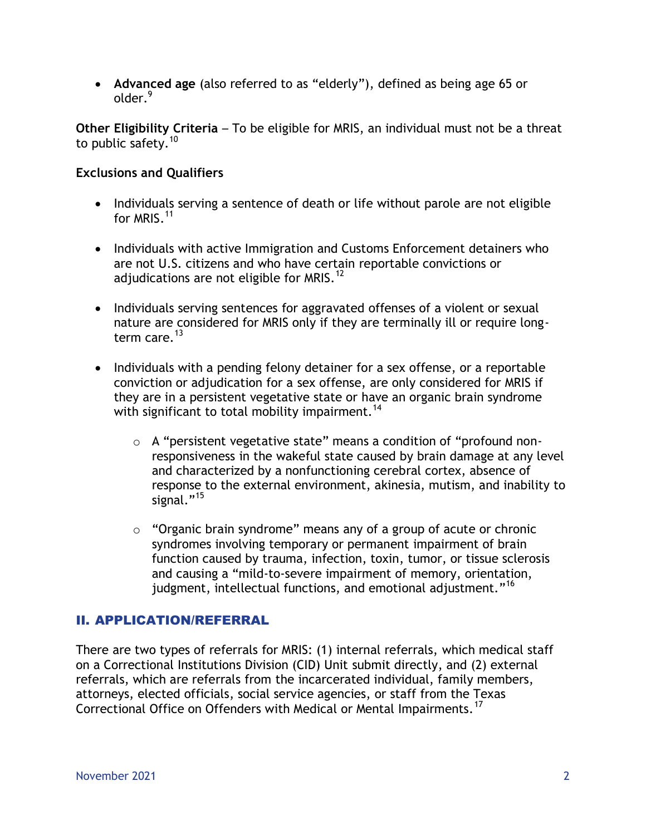**Advanced age** (also referred to as "elderly"), defined as being age 65 or older.<sup>9</sup>

**Other Eligibility Criteria** – To be eligible for MRIS, an individual must not be a threat to public safety.<sup>10</sup>

### **Exclusions and Qualifiers**

- Individuals serving a sentence of death or life without parole are not eligible for MRIS.<sup>11</sup>
- Individuals with active Immigration and Customs Enforcement detainers who are not U.S. citizens and who have certain reportable convictions or adjudications are not eligible for MRIS.<sup>12</sup>
- Individuals serving sentences for aggravated offenses of a violent or sexual nature are considered for MRIS only if they are terminally ill or require longterm care.<sup>13</sup>
- Individuals with a pending felony detainer for a sex offense, or a reportable conviction or adjudication for a sex offense, are only considered for MRIS if they are in a persistent vegetative state or have an organic brain syndrome with significant to total mobility impairment.<sup>14</sup>
	- o A "persistent vegetative state" means a condition of "profound nonresponsiveness in the wakeful state caused by brain damage at any level and characterized by a nonfunctioning cerebral cortex, absence of response to the external environment, akinesia, mutism, and inability to signal."<sup>15</sup>
	- $\circ$  "Organic brain syndrome" means any of a group of acute or chronic syndromes involving temporary or permanent impairment of brain function caused by trauma, infection, toxin, tumor, or tissue sclerosis and causing a "mild-to-severe impairment of memory, orientation, judgment, intellectual functions, and emotional adjustment."<sup>16</sup>

## II. APPLICATION/REFERRAL

There are two types of referrals for MRIS: (1) internal referrals, which medical staff on a Correctional Institutions Division (CID) Unit submit directly, and (2) external referrals, which are referrals from the incarcerated individual, family members, attorneys, elected officials, social service agencies, or staff from the Texas Correctional Office on Offenders with Medical or Mental Impairments.<sup>17</sup>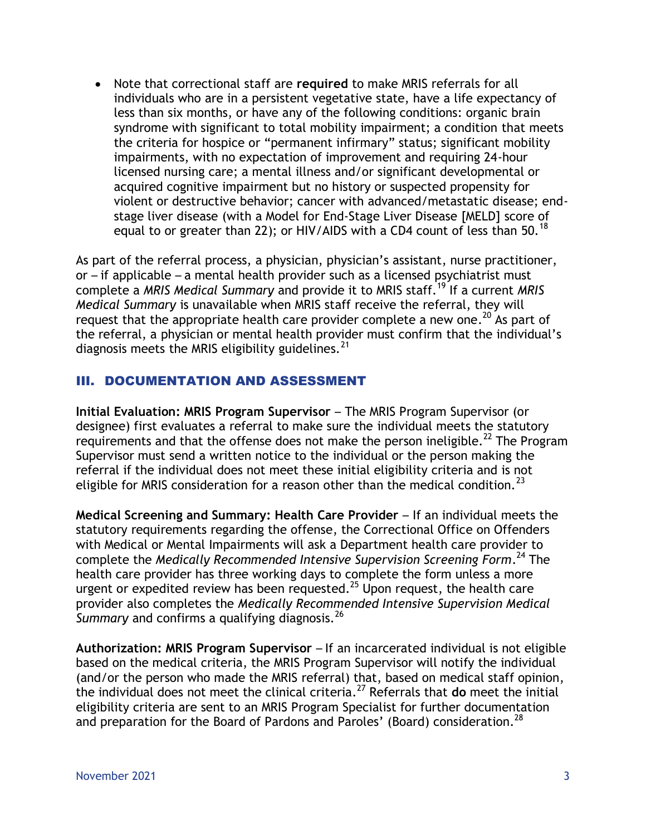Note that correctional staff are **required** to make MRIS referrals for all individuals who are in a persistent vegetative state, have a life expectancy of less than six months, or have any of the following conditions: organic brain syndrome with significant to total mobility impairment; a condition that meets the criteria for hospice or "permanent infirmary" status; significant mobility impairments, with no expectation of improvement and requiring 24-hour licensed nursing care; a mental illness and/or significant developmental or acquired cognitive impairment but no history or suspected propensity for violent or destructive behavior; cancer with advanced/metastatic disease; endstage liver disease (with a Model for End-Stage Liver Disease [MELD] score of equal to or greater than 22); or HIV/AIDS with a CD4 count of less than 50.<sup>18</sup>

As part of the referral process, a physician, physician's assistant, nurse practitioner, or – if applicable – a mental health provider such as a licensed psychiatrist must complete a *MRIS Medical Summary* and provide it to MRIS staff.<sup>19</sup> If a current *MRIS Medical Summary* is unavailable when MRIS staff receive the referral, they will request that the appropriate health care provider complete a new one.<sup>20</sup> As part of the referral, a physician or mental health provider must confirm that the individual's diagnosis meets the MRIS eligibility guidelines.<sup>21</sup>

## III. DOCUMENTATION AND ASSESSMENT

**Initial Evaluation: MRIS Program Supervisor** – The MRIS Program Supervisor (or designee) first evaluates a referral to make sure the individual meets the statutory requirements and that the offense does not make the person ineligible.<sup>22</sup> The Program Supervisor must send a written notice to the individual or the person making the referral if the individual does not meet these initial eligibility criteria and is not eligible for MRIS consideration for a reason other than the medical condition.<sup>23</sup>

**Medical Screening and Summary: Health Care Provider** – If an individual meets the statutory requirements regarding the offense, the Correctional Office on Offenders with Medical or Mental Impairments will ask a Department health care provider to complete the *Medically Recommended Intensive Supervision Screening Form*. <sup>24</sup> The health care provider has three working days to complete the form unless a more urgent or expedited review has been requested.<sup>25</sup> Upon request, the health care provider also completes the *Medically Recommended Intensive Supervision Medical*  Summary and confirms a qualifying diagnosis.<sup>26</sup>

**Authorization: MRIS Program Supervisor** – If an incarcerated individual is not eligible based on the medical criteria, the MRIS Program Supervisor will notify the individual (and/or the person who made the MRIS referral) that, based on medical staff opinion, the individual does not meet the clinical criteria.<sup>27</sup> Referrals that **do** meet the initial eligibility criteria are sent to an MRIS Program Specialist for further documentation and preparation for the Board of Pardons and Paroles' (Board) consideration.<sup>28</sup>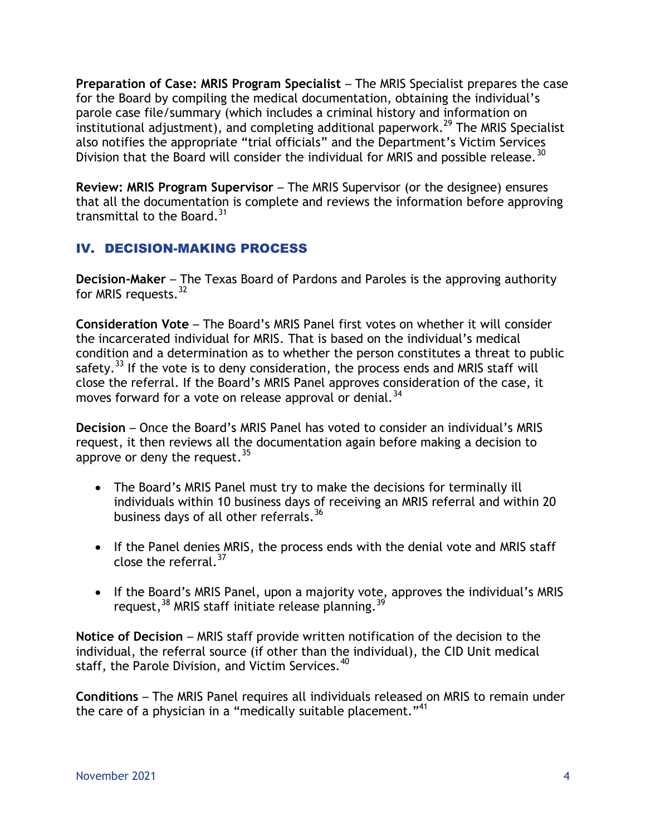**Preparation of Case: MRIS Program Specialist** – The MRIS Specialist prepares the case for the Board by compiling the medical documentation, obtaining the individual's parole case file/summary (which includes a criminal history and information on institutional adjustment), and completing additional paperwork.<sup>29</sup> The MRIS Specialist also notifies the appropriate "trial officials" and the Department's Victim Services Division that the Board will consider the individual for MRIS and possible release.<sup>30</sup>

**Review: MRIS Program Supervisor** – The MRIS Supervisor (or the designee) ensures that all the documentation is complete and reviews the information before approving transmittal to the Board.<sup>31</sup>

# IV. DECISION-MAKING PROCESS

**Decision-Maker** – The Texas Board of Pardons and Paroles is the approving authority for MRIS requests.<sup>32</sup>

**Consideration Vote** – The Board's MRIS Panel first votes on whether it will consider the incarcerated individual for MRIS. That is based on the individual's medical condition and a determination as to whether the person constitutes a threat to public safety. $33$  If the vote is to deny consideration, the process ends and MRIS staff will close the referral. If the Board's MRIS Panel approves consideration of the case, it moves forward for a vote on release approval or denial.<sup>34</sup>

**Decision** – Once the Board's MRIS Panel has voted to consider an individual's MRIS request, it then reviews all the documentation again before making a decision to approve or deny the request.  $35$ 

- The Board's MRIS Panel must try to make the decisions for terminally ill individuals within 10 business days of receiving an MRIS referral and within 20 business days of all other referrals.<sup>36</sup>
- If the Panel denies MRIS, the process ends with the denial vote and MRIS staff close the referral. $37$
- If the Board's MRIS Panel, upon a majority vote, approves the individual's MRIS request,<sup>38</sup> MRIS staff initiate release planning.<sup>39</sup>

**Notice of Decision** – MRIS staff provide written notification of the decision to the individual, the referral source (if other than the individual), the CID Unit medical staff, the Parole Division, and Victim Services.<sup>40</sup>

**Conditions** – The MRIS Panel requires all individuals released on MRIS to remain under the care of a physician in a "medically suitable placement."<sup>41</sup>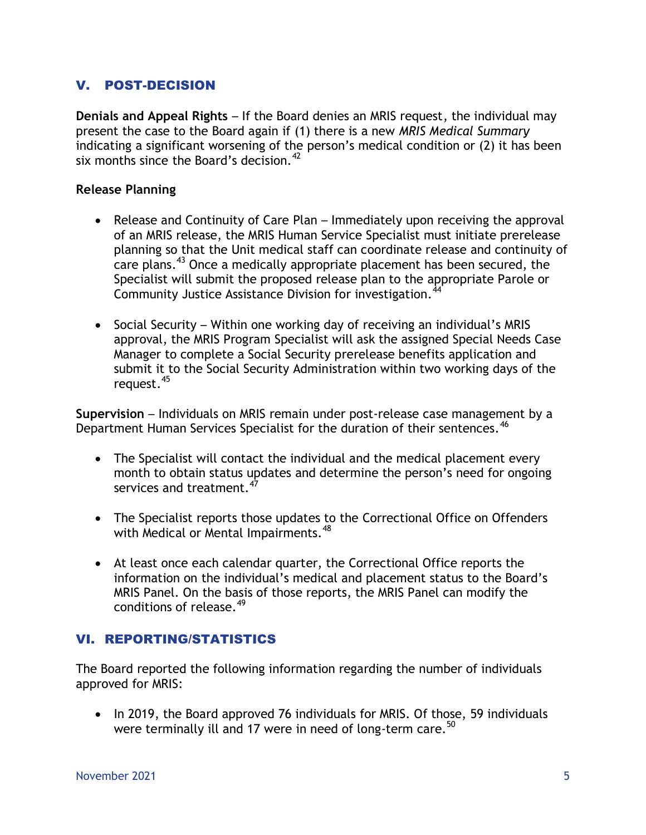# V. POST-DECISION

**Denials and Appeal Rights** – If the Board denies an MRIS request, the individual may present the case to the Board again if (1) there is a new *MRIS Medical Summary* indicating a significant worsening of the person's medical condition or (2) it has been six months since the Board's decision.<sup>42</sup>

### **Release Planning**

- Release and Continuity of Care Plan Immediately upon receiving the approval of an MRIS release, the MRIS Human Service Specialist must initiate prerelease planning so that the Unit medical staff can coordinate release and continuity of care plans.<sup>43</sup> Once a medically appropriate placement has been secured, the Specialist will submit the proposed release plan to the appropriate Parole or Community Justice Assistance Division for investigation.<sup>44</sup>
- Social Security Within one working day of receiving an individual's MRIS approval, the MRIS Program Specialist will ask the assigned Special Needs Case Manager to complete a Social Security prerelease benefits application and submit it to the Social Security Administration within two working days of the request.<sup>45</sup>

**Supervision** – Individuals on MRIS remain under post-release case management by a Department Human Services Specialist for the duration of their sentences.<sup>46</sup>

- The Specialist will contact the individual and the medical placement every month to obtain status updates and determine the person's need for ongoing services and treatment.<sup>47</sup>
- The Specialist reports those updates to the Correctional Office on Offenders with Medical or Mental Impairments.<sup>48</sup>
- At least once each calendar quarter, the Correctional Office reports the information on the individual's medical and placement status to the Board's MRIS Panel. On the basis of those reports, the MRIS Panel can modify the conditions of release.<sup>49</sup>

## VI. REPORTING/STATISTICS

The Board reported the following information regarding the number of individuals approved for MRIS:

• In 2019, the Board approved 76 individuals for MRIS. Of those, 59 individuals were terminally ill and 17 were in need of long-term care.  $50<sup>50</sup>$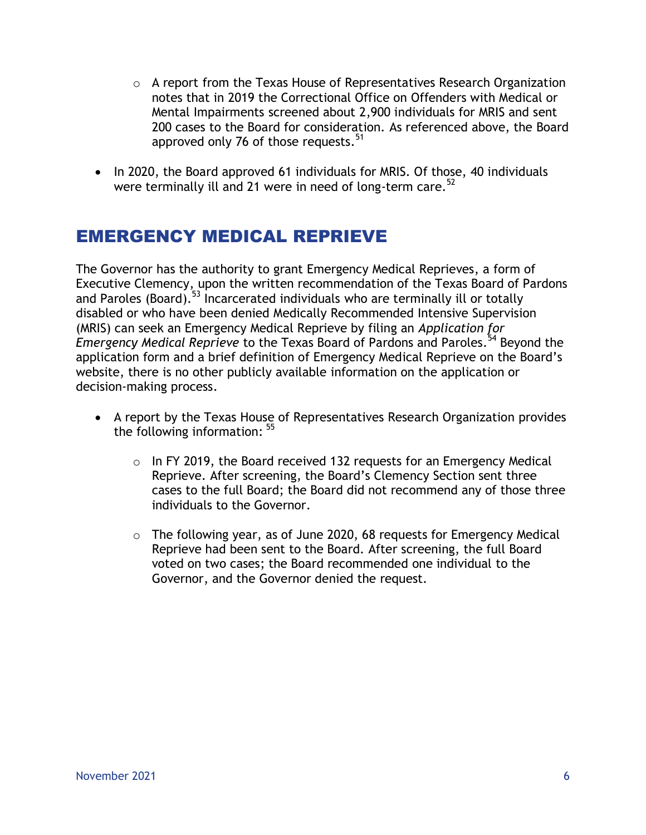- $\circ$  A report from the Texas House of Representatives Research Organization notes that in 2019 the Correctional Office on Offenders with Medical or Mental Impairments screened about 2,900 individuals for MRIS and sent 200 cases to the Board for consideration. As referenced above, the Board approved only 76 of those requests.<sup>51</sup>
- In 2020, the Board approved 61 individuals for MRIS. Of those, 40 individuals were terminally ill and 21 were in need of long-term care.<sup>52</sup>

# EMERGENCY MEDICAL REPRIEVE

The Governor has the authority to grant Emergency Medical Reprieves, a form of Executive Clemency, upon the written recommendation of the Texas Board of Pardons and Paroles (Board).<sup>53</sup> Incarcerated individuals who are terminally ill or totally disabled or who have been denied Medically Recommended Intensive Supervision (MRIS) can seek an Emergency Medical Reprieve by filing an *Application for Emergency Medical Reprieve* to the Texas Board of Pardons and Paroles. <sup>54</sup> Beyond the application form and a brief definition of Emergency Medical Reprieve on the Board's website, there is no other publicly available information on the application or decision-making process.

- A report by the Texas House of Representatives Research Organization provides the following information: <sup>55</sup>
	- o In FY 2019, the Board received 132 requests for an Emergency Medical Reprieve. After screening, the Board's Clemency Section sent three cases to the full Board; the Board did not recommend any of those three individuals to the Governor.
	- o The following year, as of June 2020, 68 requests for Emergency Medical Reprieve had been sent to the Board. After screening, the full Board voted on two cases; the Board recommended one individual to the Governor, and the Governor denied the request.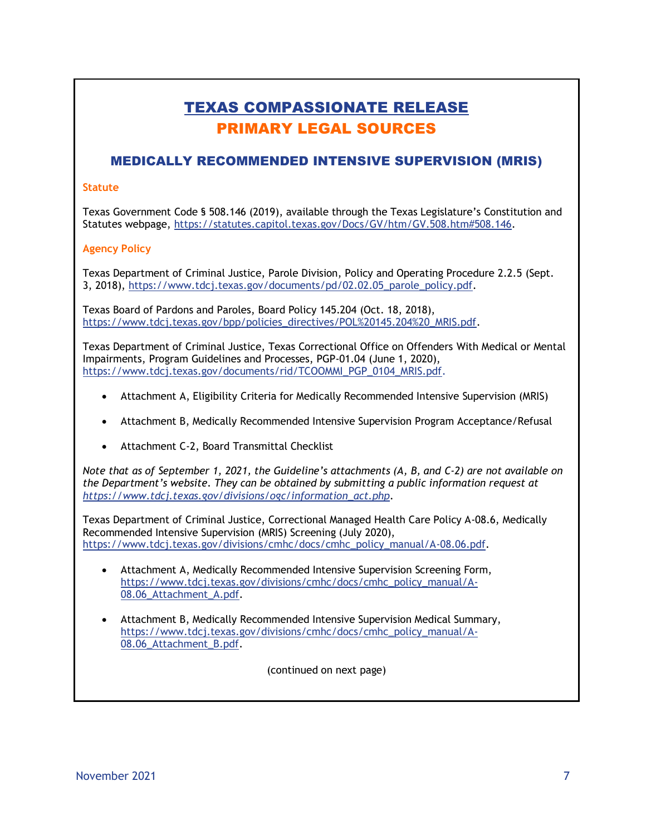# TEXAS COMPASSIONATE RELEASE PRIMARY LEGAL SOURCES

## MEDICALLY RECOMMENDED INTENSIVE SUPERVISION (MRIS)

#### **Statute**

Texas Government Code § 508.146 (2019), available through the Texas Legislature's Constitution and Statutes webpage, [https://statutes.capitol.texas.gov/Docs/GV/htm/GV.508.htm#508.146.](https://statutes.capitol.texas.gov/Docs/GV/htm/GV.508.htm#508.146)

#### **Agency Policy**

Texas Department of Criminal Justice, Parole Division, Policy and Operating Procedure 2.2.5 (Sept. 3, 2018), [https://www.tdcj.texas.gov/documents/pd/02.02.05\\_parole\\_policy.pdf.](https://www.tdcj.texas.gov/documents/pd/02.02.05_parole_policy.pdf)

Texas Board of Pardons and Paroles, Board Policy 145.204 (Oct. 18, 2018), [https://www.tdcj.texas.gov/bpp/policies\\_directives/POL%20145.204%20\\_MRIS.pdf.](https://www.tdcj.texas.gov/bpp/policies_directives/POL%20145.204%20_MRIS.pdf)

Texas Department of Criminal Justice, Texas Correctional Office on Offenders With Medical or Mental Impairments, Program Guidelines and Processes, PGP-01.04 (June 1, 2020), [https://www.tdcj.texas.gov/documents/rid/TCOOMMI\\_PGP\\_0104\\_MRIS.pdf.](https://www.tdcj.texas.gov/documents/rid/TCOOMMI_PGP_0104_MRIS.pdf)

- Attachment A, Eligibility Criteria for Medically Recommended Intensive Supervision (MRIS)
- Attachment B, Medically Recommended Intensive Supervision Program Acceptance/Refusal
- Attachment C-2, Board Transmittal Checklist

*Note that as of September 1, 2021, the Guideline's attachments (A, B, and C-2) are not available on the Department's website. They can be obtained by submitting a public information request at [https://www.tdcj.texas.gov/divisions/ogc/information\\_act.php.](https://www.tdcj.texas.gov/divisions/ogc/information_act.php)*

Texas Department of Criminal Justice, Correctional Managed Health Care Policy A-08.6, Medically Recommended Intensive Supervision (MRIS) Screening (July 2020), [https://www.tdcj.texas.gov/divisions/cmhc/docs/cmhc\\_policy\\_manual/A-08.06.pdf.](https://www.tdcj.texas.gov/divisions/cmhc/docs/cmhc_policy_manual/A-08.06.pdf)

- Attachment A, Medically Recommended Intensive Supervision Screening Form, [https://www.tdcj.texas.gov/divisions/cmhc/docs/cmhc\\_policy\\_manual/A-](https://www.tdcj.texas.gov/divisions/cmhc/docs/cmhc_policy_manual/A-08.06_Attachment_A.pdf)08.06 Attachment A.pdf.
- Attachment B, Medically Recommended Intensive Supervision Medical Summary, [https://www.tdcj.texas.gov/divisions/cmhc/docs/cmhc\\_policy\\_manual/A-](https://www.tdcj.texas.gov/divisions/cmhc/docs/cmhc_policy_manual/A-08.06_Attachment_B.pdf)[08.06\\_Attachment\\_B.pdf.](https://www.tdcj.texas.gov/divisions/cmhc/docs/cmhc_policy_manual/A-08.06_Attachment_B.pdf)

(continued on next page)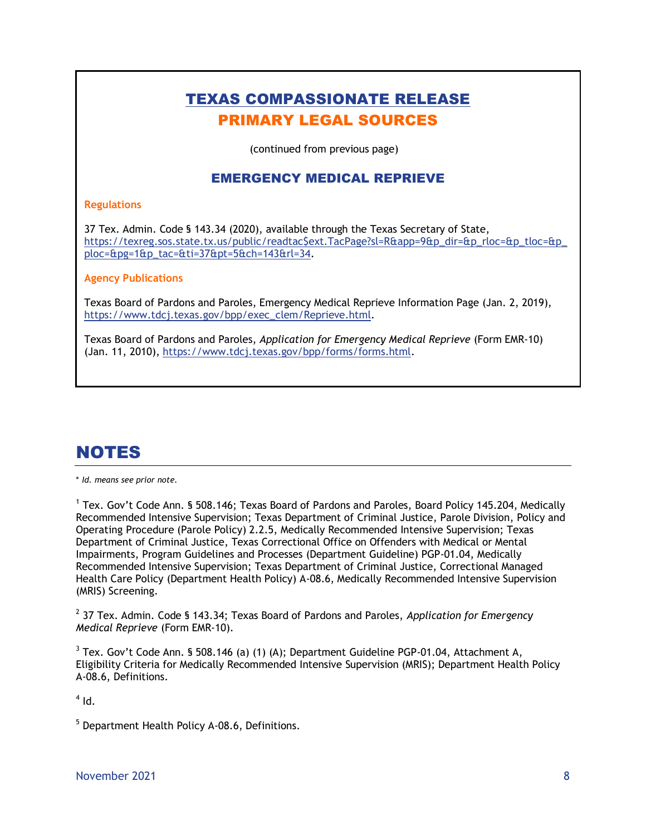# TEXAS COMPASSIONATE RELEASE PRIMARY LEGAL SOURCES

(continued from previous page)

### EMERGENCY MEDICAL REPRIEVE

#### **Regulations**

37 Tex. Admin. Code § 143.34 (2020), available through the Texas Secretary of State, [https://texreg.sos.state.tx.us/public/readtac\\$ext.TacPage?sl=R&app=9&p\\_dir=&p\\_rloc=&p\\_tloc=&p\\_](https://texreg.sos.state.tx.us/public/readtac$ext.TacPage?sl=R&app=9&p_dir=&p_rloc=&p_tloc=&p_ploc=&pg=1&p_tac=&ti=37&pt=5&ch=143&rl=34) [ploc=&pg=1&p\\_tac=&ti=37&pt=5&ch=143&rl=34.](https://texreg.sos.state.tx.us/public/readtac$ext.TacPage?sl=R&app=9&p_dir=&p_rloc=&p_tloc=&p_ploc=&pg=1&p_tac=&ti=37&pt=5&ch=143&rl=34)

#### **Agency Publications**

Texas Board of Pardons and Paroles, Emergency Medical Reprieve Information Page (Jan. 2, 2019), [https://www.tdcj.texas.gov/bpp/exec\\_clem/Reprieve.html.](https://www.tdcj.texas.gov/bpp/exec_clem/Reprieve.html)

Texas Board of Pardons and Paroles, *Application for Emergency Medical Reprieve* (Form EMR-10) (Jan. 11, 2010), [https://www.tdcj.texas.gov/bpp/forms/forms.html.](https://www.tdcj.texas.gov/bpp/forms/forms.html)

# NOTES

#### \* *Id. means see prior note.*

<sup>1</sup> Tex. Gov't Code Ann. § 508.146; Texas Board of Pardons and Paroles, Board Policy 145.204, Medically Recommended Intensive Supervision; Texas Department of Criminal Justice, Parole Division, Policy and Operating Procedure (Parole Policy) 2.2.5, Medically Recommended Intensive Supervision; Texas Department of Criminal Justice, Texas Correctional Office on Offenders with Medical or Mental Impairments, Program Guidelines and Processes (Department Guideline) PGP-01.04, Medically Recommended Intensive Supervision; Texas Department of Criminal Justice, Correctional Managed Health Care Policy (Department Health Policy) A-08.6, Medically Recommended Intensive Supervision (MRIS) Screening.

2 37 Tex. Admin. Code § 143.34; Texas Board of Pardons and Paroles, *Application for Emergency Medical Reprieve* (Form EMR-10).

 $3$  Tex. Gov't Code Ann. § 508.146 (a) (1) (A); Department Guideline PGP-01.04, Attachment A, Eligibility Criteria for Medically Recommended Intensive Supervision (MRIS); Department Health Policy A-08.6, Definitions.

 $<sup>4</sup>$  Id.</sup>

<sup>5</sup> Department Health Policy A-08.6, Definitions.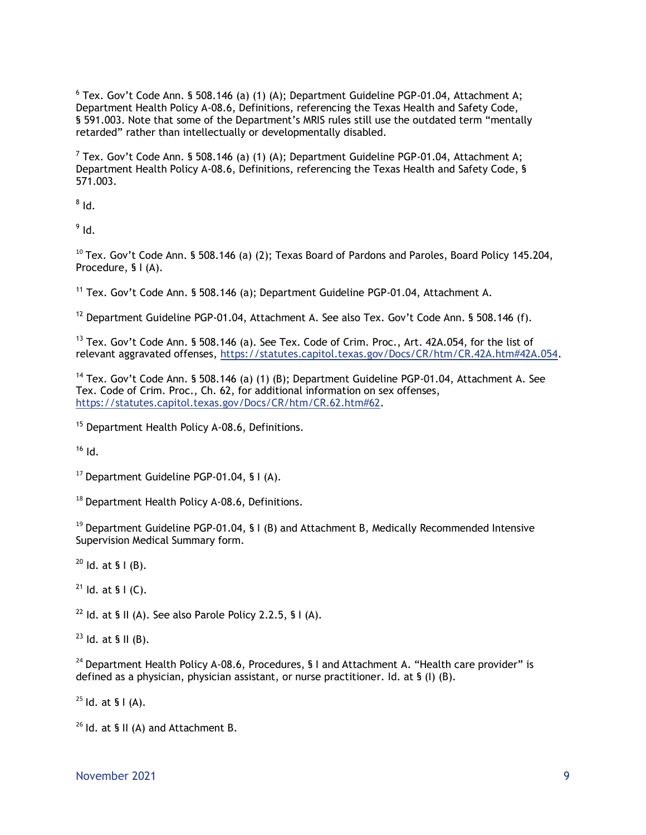$^6$  Tex. Gov't Code Ann. § 508.146 (a) (1) (A); Department Guideline PGP-01.04, Attachment A; Department Health Policy A-08.6, Definitions, referencing the Texas Health and Safety Code, § 591.003. Note that some of the Department's MRIS rules still use the outdated term "mentally retarded" rather than intellectually or developmentally disabled.

 $^7$  Tex. Gov't Code Ann. § 508.146 (a) (1) (A); Department Guideline PGP-01.04, Attachment A; Department Health Policy A-08.6, Definitions, referencing the Texas Health and Safety Code, § 571.003.

 $^8$  Id.

 $^9$  Id.

 $^{10}$  Tex. Gov't Code Ann. § 508.146 (a) (2); Texas Board of Pardons and Paroles, Board Policy 145.204, Procedure, § I (A).

<sup>11</sup> Tex. Gov't Code Ann. § 508.146 (a); Department Guideline PGP-01.04, Attachment A.

 $12$  Department Guideline PGP-01.04, Attachment A. See also Tex. Gov't Code Ann. § 508.146 (f).

 $13$  Tex. Gov't Code Ann. § 508.146 (a). See Tex. Code of Crim. Proc., Art. 42A.054, for the list of relevant aggravated offenses, [https://statutes.capitol.texas.gov/Docs/CR/htm/CR.42A.htm#42A.054.](https://statutes.capitol.texas.gov/Docs/CR/htm/CR.42A.htm#42A.054)

<sup>14</sup> Tex. Gov't Code Ann. § 508.146 (a) (1) (B); Department Guideline PGP-01.04, Attachment A. See Tex. Code of Crim. Proc., Ch. 62, for additional information on sex offenses, [https://statutes.capitol.texas.gov/Docs/CR/htm/CR.62.htm#62.](https://statutes.capitol.texas.gov/Docs/CR/htm/CR.62.htm#62)

<sup>15</sup> Department Health Policy A-08.6, Definitions.

 $16$  Id.

 $17$  Department Guideline PGP-01.04, § I (A).

 $18$  Department Health Policy A-08.6, Definitions.

 $19$  Department Guideline PGP-01.04, § I (B) and Attachment B, Medically Recommended Intensive Supervision Medical Summary form.

 $^{20}$  Id. at § I (B).

 $21$  Id. at § I (C).

<sup>22</sup> Id. at § II (A). See also Parole Policy 2.2.5, § I (A).

 $23$  Id. at § II (B).

<sup>24</sup> Department Health Policy A-08.6, Procedures, § I and Attachment A. "Health care provider" is defined as a physician, physician assistant, or nurse practitioner. Id. at § (I) (B).

 $25$  Id. at § I (A).

 $26$  Id. at § II (A) and Attachment B.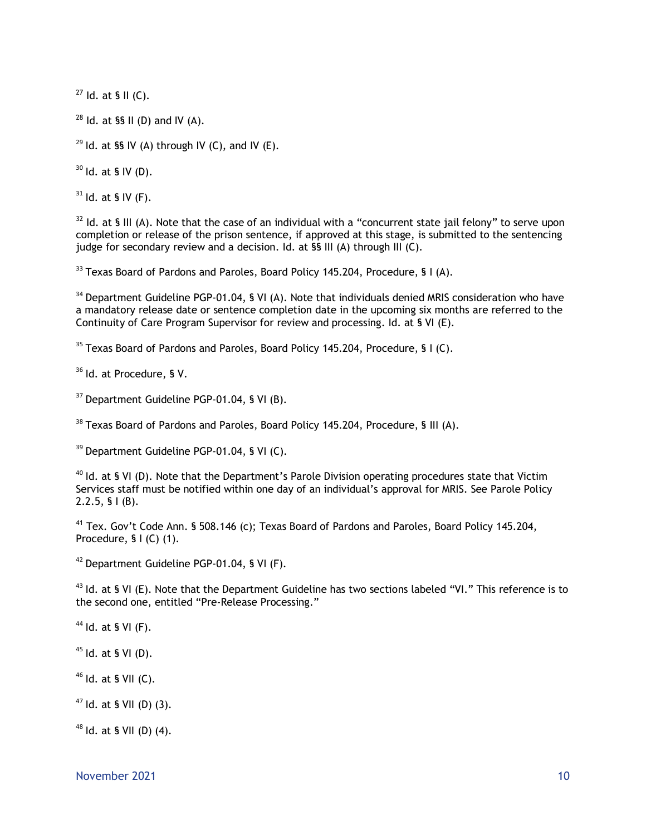$27$  Id. at § II (C).

 $28$  Id. at §§ II (D) and IV (A).

<sup>29</sup> Id. at §§ IV (A) through IV (C), and IV (E).

 $30$  Id. at § IV (D).

 $31$  Id. at § IV (F).

 $32$  Id. at § III (A). Note that the case of an individual with a "concurrent state jail felony" to serve upon completion or release of the prison sentence, if approved at this stage, is submitted to the sentencing judge for secondary review and a decision. Id. at §§ III (A) through III (C).

 $33$  Texas Board of Pardons and Paroles, Board Policy 145.204, Procedure, § I (A).

<sup>34</sup> Department Guideline PGP-01.04, § VI (A). Note that individuals denied MRIS consideration who have a mandatory release date or sentence completion date in the upcoming six months are referred to the Continuity of Care Program Supervisor for review and processing. Id. at § VI (E).

 $35$  Texas Board of Pardons and Paroles, Board Policy 145.204, Procedure, § I (C).

<sup>36</sup> Id. at Procedure, § V.

<sup>37</sup> Department Guideline PGP-01.04, § VI (B).

<sup>38</sup> Texas Board of Pardons and Paroles, Board Policy 145.204, Procedure, § III (A).

<sup>39</sup> Department Guideline PGP-01.04, § VI (C).

 $40$  Id. at § VI (D). Note that the Department's Parole Division operating procedures state that Victim Services staff must be notified within one day of an individual's approval for MRIS. See Parole Policy 2.2.5, § I (B).

<sup>41</sup> Tex. Gov't Code Ann. § 508.146 (c); Texas Board of Pardons and Paroles, Board Policy 145.204, Procedure, § I (C) (1).

<sup>42</sup> Department Guideline PGP-01.04, § VI (F).

 $^{43}$  ld. at § VI (E). Note that the Department Guideline has two sections labeled "VI." This reference is to the second one, entitled "Pre-Release Processing."

 $44$  Id. at § VI (F).

 $45$  Id. at § VI (D).

 $46$  Id. at § VII (C).

 $47$  Id. at § VII (D) (3).

 $48$  Id. at § VII (D) (4).